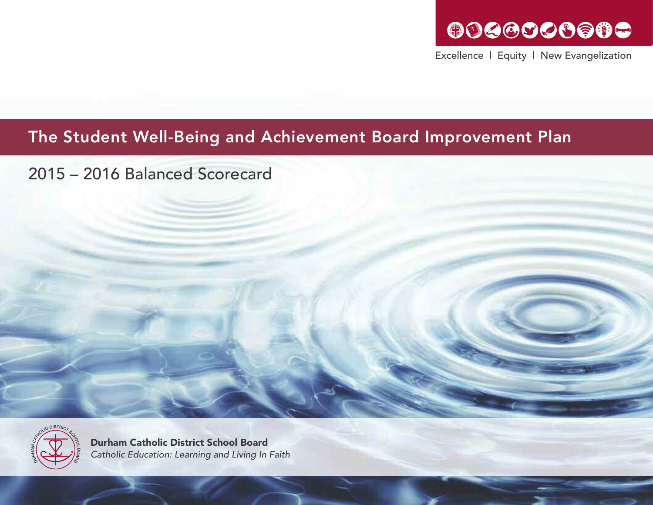### GOGGGGGGGG

Excellence | Equity | New Evangelization

### The Student Well-Being and Achievement Board Improvement Plan

2015 – 2016 Balanced Scorecard



Durham Catholic District School Board *Catholic Education: Learning and Living In Faith*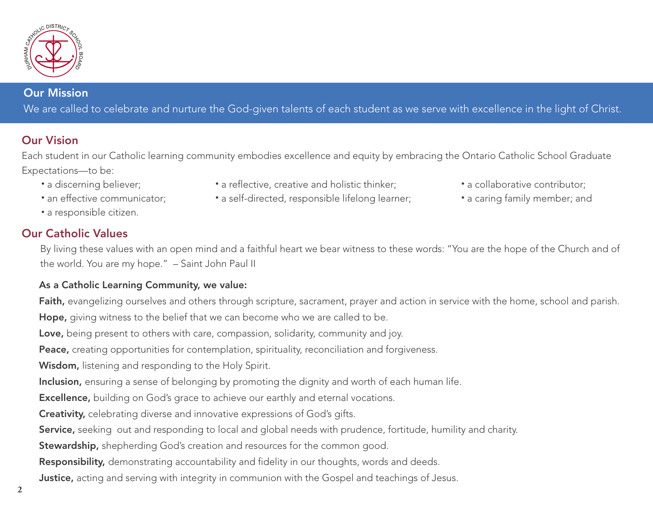

#### Our Mission

We are called to celebrate and nurture the God-given talents of each student as we serve with excellence in the light of Christ.

#### Our Vision

Each student in our Catholic learning community embodies excellence and equity by embracing the Ontario Catholic School Graduate Expectations—to be:

- 
- 
- a responsible citizen.

#### Our Catholic Values

- a discerning believer; The same flective, creative and holistic thinker; The same of a collaborative contributor;
- 
- an effective communicator; a self-directed, responsible lifelong learner; • a caring family member; and

By living these values with an open mind and a faithful heart we bear witness to these words: "You are the hope of the Church and of the world. You are my hope." – Saint John Paul II

#### As a Catholic Learning Community, we value:

Faith, evangelizing ourselves and others through scripture, sacrament, prayer and action in service with the home, school and parish. Hope, giving witness to the belief that we can become who we are called to be.

Love, being present to others with care, compassion, solidarity, community and joy.

Peace, creating opportunities for contemplation, spirituality, reconciliation and forgiveness.

Wisdom, listening and responding to the Holy Spirit.

Inclusion, ensuring a sense of belonging by promoting the dignity and worth of each human life.

**Excellence,** building on God's grace to achieve our earthly and eternal vocations.

Creativity, celebrating diverse and innovative expressions of God's gifts.

Service, seeking out and responding to local and global needs with prudence, fortitude, humility and charity.

Stewardship, shepherding God's creation and resources for the common good.

Responsibility, demonstrating accountability and fidelity in our thoughts, words and deeds.

**Justice,** acting and serving with integrity in communion with the Gospel and teachings of Jesus.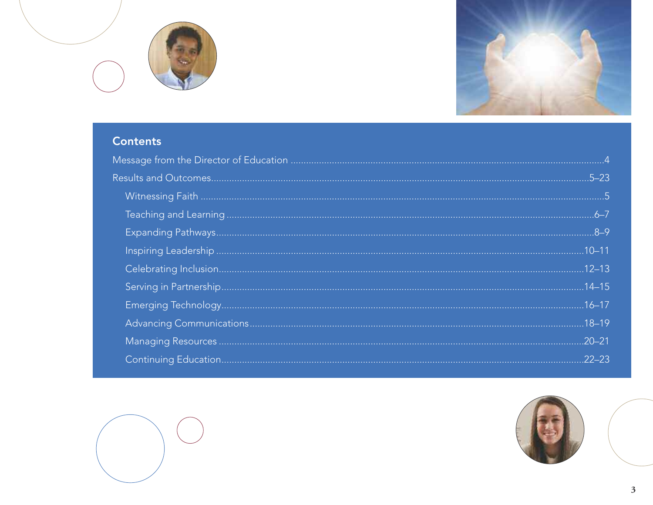



### **Contents**



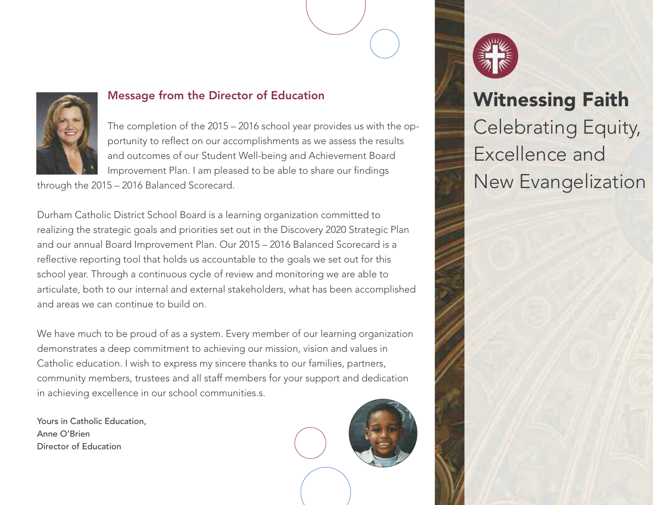

#### Message from the Director of Education

The completion of the 2015 – 2016 school year provides us with the opportunity to reflect on our accomplishments as we assess the results and outcomes of our Student Well-being and Achievement Board Improvement Plan. I am pleased to be able to share our findings

through the 2015 – 2016 Balanced Scorecard.

Durham Catholic District School Board is a learning organization committed to realizing the strategic goals and priorities set out in the Discovery 2020 Strategic Plan and our annual Board Improvement Plan. Our 2015 – 2016 Balanced Scorecard is a reflective reporting tool that holds us accountable to the goals we set out for this school year. Through a continuous cycle of review and monitoring we are able to articulate, both to our internal and external stakeholders, what has been accomplished and areas we can continue to build on.

We have much to be proud of as a system. Every member of our learning organization demonstrates a deep commitment to achieving our mission, vision and values in Catholic education. I wish to express my sincere thanks to our families, partners, community members, trustees and all staff members for your support and dedication in achieving excellence in our school communities.s.

Yours in Catholic Education, Anne O'Brien Director of Education





## Witnessing Faith Celebrating Equity, Excellence and New Evangelization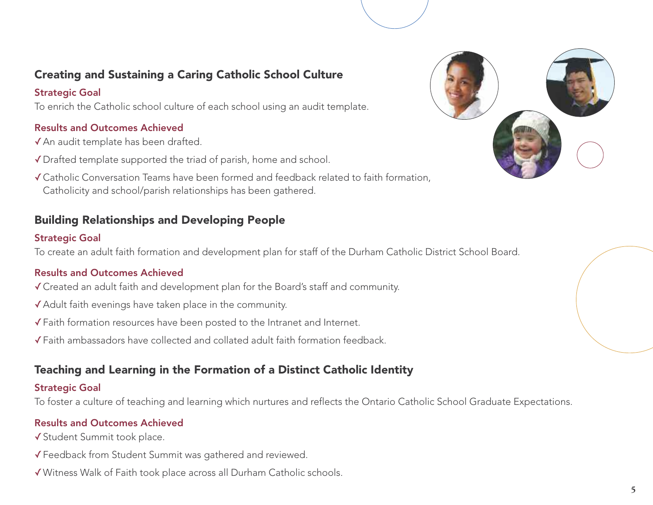#### Creating and Sustaining a Caring Catholic School Culture

#### Strategic Goal

To enrich the Catholic school culture of each school using an audit template.

#### Results and Outcomes Achieved

- ✓An audit template has been drafted.
- ✓Drafted template supported the triad of parish, home and school.
- ✓Catholic Conversation Teams have been formed and feedback related to faith formation, Catholicity and school/parish relationships has been gathered.

#### Building Relationships and Developing People

#### Strategic Goal

To create an adult faith formation and development plan for staff of the Durham Catholic District School Board.

#### Results and Outcomes Achieved

- ✓Created an adult faith and development plan for the Board's staff and community.
- ✓Adult faith evenings have taken place in the community.
- ✓Faith formation resources have been posted to the Intranet and Internet.
- ✓Faith ambassadors have collected and collated adult faith formation feedback.

#### Teaching and Learning in the Formation of a Distinct Catholic Identity

#### Strategic Goal

To foster a culture of teaching and learning which nurtures and reflects the Ontario Catholic School Graduate Expectations.

- ✓Student Summit took place.
- ✓Feedback from Student Summit was gathered and reviewed.
- ✓Witness Walk of Faith took place across all Durham Catholic schools.

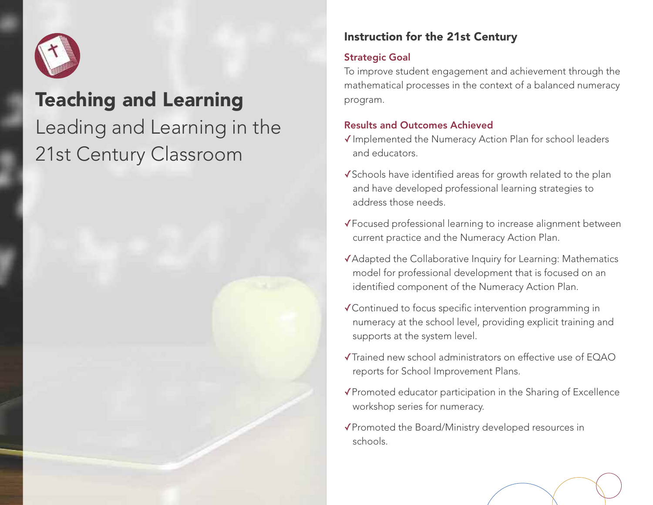

## Teaching and Learning Leading and Learning in the 21st Century Classroom

#### Instruction for the 21st Century

#### Strategic Goal

To improve student engagement and achievement through the mathematical processes in the context of a balanced numeracy program.

- ✓Implemented the Numeracy Action Plan for school leaders and educators.
- ✓Schools have identified areas for growth related to the plan and have developed professional learning strategies to address those needs.
- ✓Focused professional learning to increase alignment between current practice and the Numeracy Action Plan.
- ✓Adapted the Collaborative Inquiry for Learning: Mathematics model for professional development that is focused on an identified component of the Numeracy Action Plan.
- ✓Continued to focus specific intervention programming in numeracy at the school level, providing explicit training and supports at the system level.
- ✓Trained new school administrators on effective use of EQAO reports for School Improvement Plans.
- ✓Promoted educator participation in the Sharing of Excellence workshop series for numeracy.
- ✓Promoted the Board/Ministry developed resources in schools.

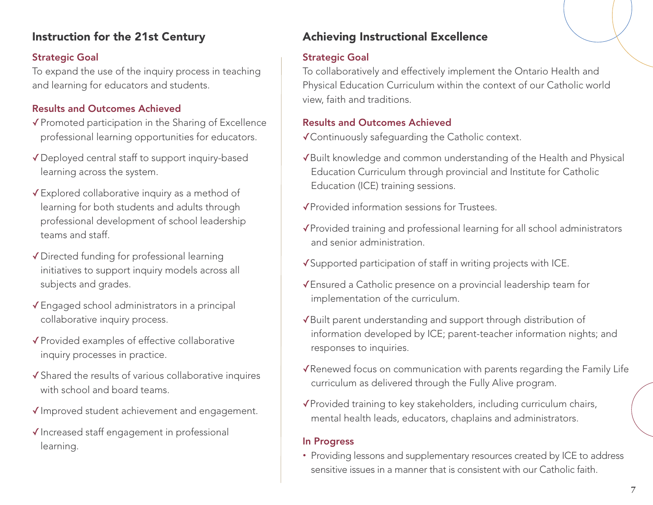#### Instruction for the 21st Century

#### Strategic Goal

To expand the use of the inquiry process in teaching and learning for educators and students.

#### Results and Outcomes Achieved

- ✓Promoted participation in the Sharing of Excellence professional learning opportunities for educators.
- ✓Deployed central staff to support inquiry-based learning across the system.
- ✓Explored collaborative inquiry as a method of learning for both students and adults through professional development of school leadership teams and staff.
- ✓Directed funding for professional learning initiatives to support inquiry models across all subjects and grades.
- ✓Engaged school administrators in a principal collaborative inquiry process.
- ✓Provided examples of effective collaborative inquiry processes in practice.
- ✓Shared the results of various collaborative inquires with school and board teams.
- ✓Improved student achievement and engagement.
- ✓Increased staff engagement in professional learning.

### Achieving Instructional Excellence

#### Strategic Goal

To collaboratively and effectively implement the Ontario Health and Physical Education Curriculum within the context of our Catholic world view, faith and traditions.

#### Results and Outcomes Achieved

✓Continuously safeguarding the Catholic context.

- ✓Built knowledge and common understanding of the Health and Physical Education Curriculum through provincial and Institute for Catholic Education (ICE) training sessions.
- ✓Provided information sessions for Trustees.
- ✓Provided training and professional learning for all school administrators and senior administration.
- ✓Supported participation of staff in writing projects with ICE.
- ✓Ensured a Catholic presence on a provincial leadership team for implementation of the curriculum.
- ✓Built parent understanding and support through distribution of information developed by ICE; parent-teacher information nights; and responses to inquiries.
- ✓Renewed focus on communication with parents regarding the Family Life curriculum as delivered through the Fully Alive program.
- ✓Provided training to key stakeholders, including curriculum chairs, mental health leads, educators, chaplains and administrators.

#### In Progress

• Providing lessons and supplementary resources created by ICE to address sensitive issues in a manner that is consistent with our Catholic faith.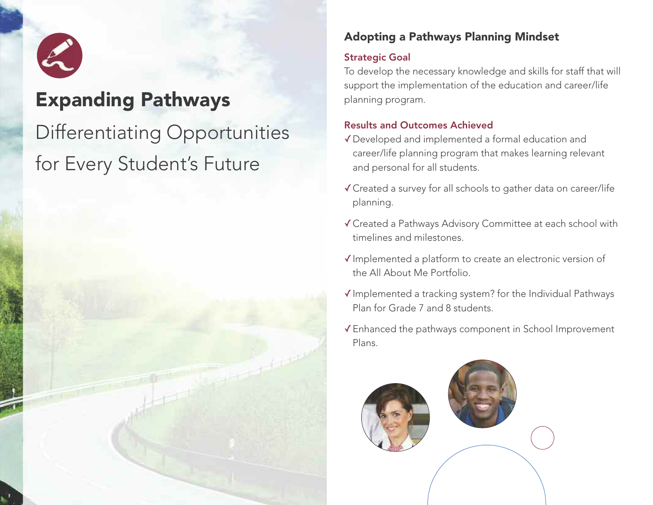

### Expanding Pathways

## Differentiating Opportunities for Every Student' s Future

#### Adopting a Pathways Planning Mindset

#### Strategic Goal

To develop the necessary knowledge and skills for staff that will support the implementation of the education and career/life planning program.

- ✓Developed and implemented a formal education and career/life planning program that makes learning relevant and personal for all students.
- ✓Created a survey for all schools to gather data on career/life planning.
- ✓Created a Pathways Advisory Committee at each school with timelines and milestones.
- ✓Implemented a platform to create an electronic version of the All About Me Portfolio.
- ✓Implemented a tracking system? for the Individual Pathways Plan for Grade 7 and 8 students.
- ✓Enhanced the pathways component in School Improvement Plans.

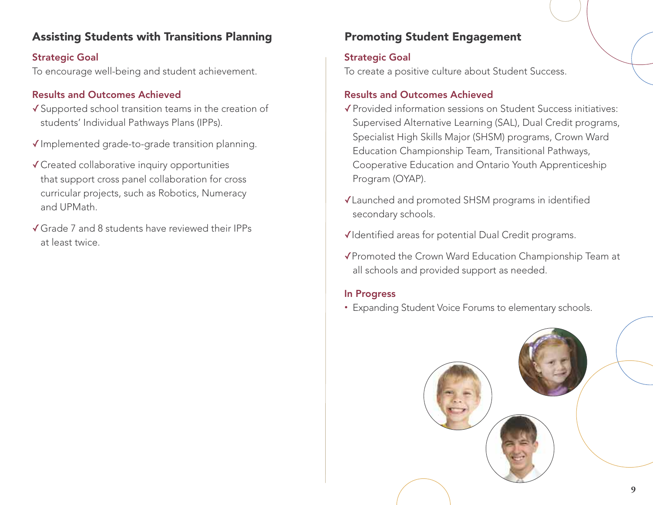#### Assisting Students with Transitions Planning

Strategic Goal To encourage well-being and student achievement.

#### Results and Outcomes Achieved

- ✓Supported school transition teams in the creation of students' Individual Pathways Plans (IPPs).
- ✓Implemented grade-to-grade transition planning.
- ✓Created collaborative inquiry opportunities that support cross panel collaboration for cross curricular projects, such as Robotics, Numeracy and UPMath.
- ✓Grade 7 and 8 students have reviewed their IPPs at least twice.

#### Promoting Student Engagement

#### Strategic Goal

To create a positive culture about Student Success.

#### Results and Outcomes Achieved

- ✓Provided information sessions on Student Success initiatives: Supervised Alternative Learning (SAL), Dual Credit programs, Specialist High Skills Major (SHSM) programs, Crown Ward Education Championship Team, Transitional Pathways, Cooperative Education and Ontario Youth Apprenticeship Program (OYAP).
- ✓Launched and promoted SHSM programs in identified secondary schools.
- ✓Identified areas for potential Dual Credit programs.
- ✓Promoted the Crown Ward Education Championship Team at all schools and provided support as needed.

#### In Progress

• Expanding Student Voice Forums to elementary schools.

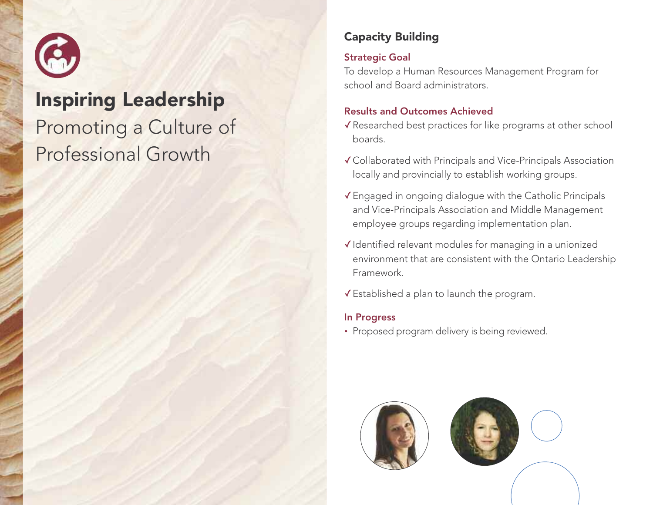

### Inspiring Leadership

## Promoting a Culture of Professional Growth

#### Capacity Building

#### Strategic Goal

To develop a Human Resources Management Program for school and Board administrators.

#### Results and Outcomes Achieved

- ✓Researched best practices for like programs at other school boards.
- ✓Collaborated with Principals and Vice-Principals Association locally and provincially to establish working groups.
- ✓Engaged in ongoing dialogue with the Catholic Principals and Vice-Principals Association and Middle Management employee groups regarding implementation plan.
- ✓Identified relevant modules for managing in a unionized environment that are consistent with the Ontario Leadership Framework.
- ✓Established a plan to launch the program.

#### In Progress

• Proposed program delivery is being reviewed.

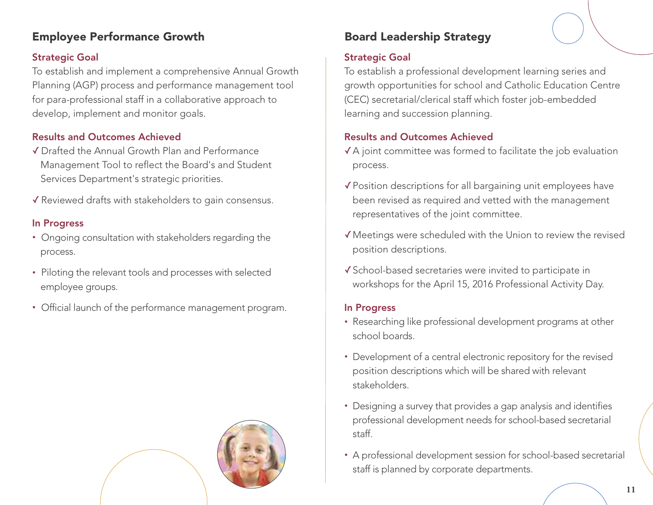#### Employee Performance Growth

#### Strategic Goal

To establish and implement a comprehensive Annual Growth Planning (AGP) process and performance management tool for para-professional staff in a collaborative approach to develop, implement and monitor goals.

#### Results and Outcomes Achieved

- ✓ Drafted the Annual Growth Plan and Performance Management Tool to reflect the Board's and Student Services Department's strategic priorities.
- ✓ Reviewed drafts with stakeholders to gain consensus.

#### In Progress

- Ongoing consultation with stakeholders regarding the process.
- Piloting the relevant tools and processes with selected employee groups.
- Official launch of the performance management program.



#### Board Leadership Strategy

#### Strategic Goal

To establish a professional development learning series and growth opportunities for school and Catholic Education Centre (CEC) secretarial/clerical staff which foster job-embedded learning and succession planning.

#### Results and Outcomes Achieved

- ✓A joint committee was formed to facilitate the job evaluation process.
- ✓Position descriptions for all bargaining unit employees have been revised as required and vetted with the management representatives of the joint committee.
- ✓Meetings were scheduled with the Union to review the revised position descriptions.
- ✓School-based secretaries were invited to participate in workshops for the April 15, 2016 Professional Activity Day.

#### In Progress

- Researching like professional development programs at other school boards.
- Development of a central electronic repository for the revised position descriptions which will be shared with relevant stakeholders.
- Designing a survey that provides a gap analysis and identifies professional development needs for school-based secretarial staff.
- A professional development session for school-based secretarial staff is planned by corporate departments.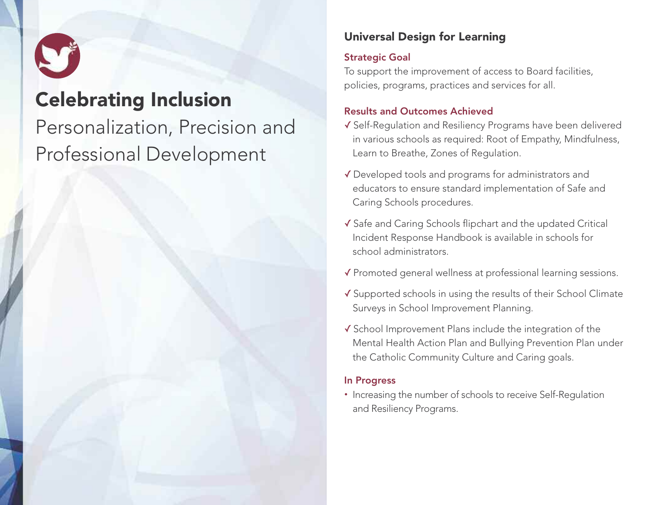

### Celebrating Inclusion

## Personalization, Precision and Professional Development

#### Universal Design for Learning

#### Strategic Goal

To support the improvement of access to Board facilities, policies, programs, practices and services for all.

#### Results and Outcomes Achieved

- ✓ Self-Regulation and Resiliency Programs have been delivered in various schools as required: Root of Empathy, Mindfulness, Learn to Breathe, Zones of Regulation.
- ✓ Developed tools and programs for administrators and educators to ensure standard implementation of Safe and Caring Schools procedures.
- ✓ Safe and Caring Schools flipchart and the updated Critical Incident Response Handbook is available in schools for school administrators.
- ✓ Promoted general wellness at professional learning sessions.
- ✓ Supported schools in using the results of their School Climate Surveys in School Improvement Planning.
- ✓ School Improvement Plans include the integration of the Mental Health Action Plan and Bullying Prevention Plan under the Catholic Community Culture and Caring goals.

#### In Progress

• Increasing the number of schools to receive Self-Regulation and Resiliency Programs.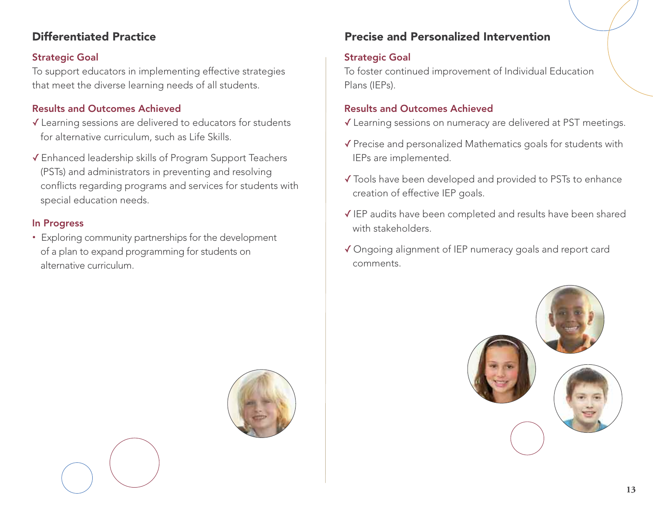#### Differentiated Practice

#### Strategic Goal

To support educators in implementing effective strategies that meet the diverse learning needs of all students.

#### Results and Outcomes Achieved

- ✓ Learning sessions are delivered to educators for students for alternative curriculum, such as Life Skills.
- ✓ Enhanced leadership skills of Program Support Teachers (PSTs) and administrators in preventing and resolving conflicts regarding programs and services for students with special education needs.

#### In Progress

• Exploring community partnerships for the development of a plan to expand programming for students on alternative curriculum.

#### Precise and Personalized Intervention

#### Strategic Goal

To foster continued improvement of Individual Education Plans (IEPs).

- ✓ Learning sessions on numeracy are delivered at PST meetings.
- ✓ Precise and personalized Mathematics goals for students with IEPs are implemented.
- ✓ Tools have been developed and provided to PSTs to enhance creation of effective IEP goals.
- ✓ IEP audits have been completed and results have been shared with stakeholders.
- ✓ Ongoing alignment of IEP numeracy goals and report card comments.



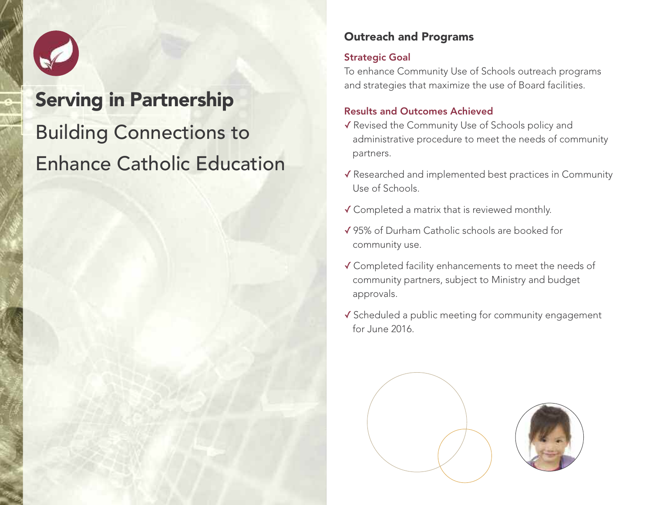

# Serving in Partnership Building Connections to Enhance Catholic Education

#### Outreach and Programs

#### Strategic Goal

To enhance Community Use of Schools outreach programs and strategies that maximize the use of Board facilities.

- ✓ Revised the Community Use of Schools policy and administrative procedure to meet the needs of community partners.
- ✓ Researched and implemented best practices in Community Use of Schools.
- ✓ Completed a matrix that is reviewed monthly.
- ✓ 95% of Durham Catholic schools are booked for community use.
- ✓ Completed facility enhancements to meet the needs of community partners, subject to Ministry and budget approvals.
- ✓ Scheduled a public meeting for community engagement for June 2016.

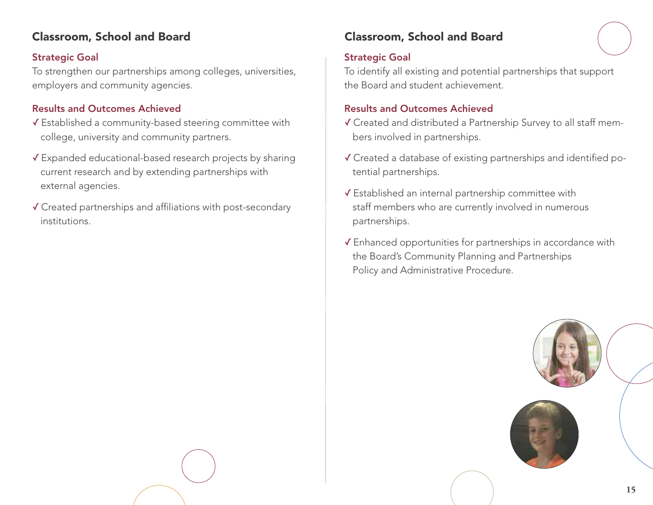#### Classroom, School and Board

#### Strategic Goal

To strengthen our partnerships among colleges, universities, employers and community agencies.

#### Results and Outcomes Achieved

- ✓ Established a community-based steering committee with college, university and community partners.
- ✓ Expanded educational-based research projects by sharing current research and by extending partnerships with external agencies.
- ✓ Created partnerships and affiliations with post-secondary institutions.

#### Classroom, School and Board

#### Strategic Goal

To identify all existing and potential partnerships that support the Board and student achievement.

- ✓ Created and distributed a Partnership Survey to all staff members involved in partnerships.
- ✓ Created a database of existing partnerships and identified potential partnerships.
- ✓ Established an internal partnership committee with staff members who are currently involved in numerous partnerships.
- ✓ Enhanced opportunities for partnerships in accordance with the Board's Community Planning and Partnerships Policy and Administrative Procedure.

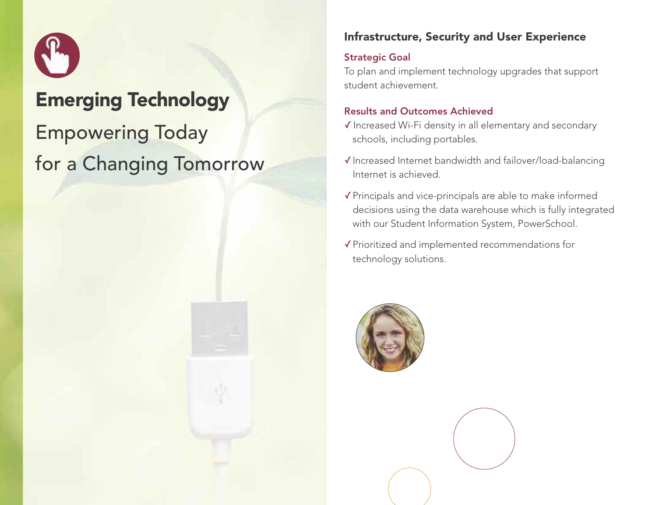

### Emerging Technology

## Empowering Today for a Changing Tomorrow



#### Strategic Goal

To plan and implement technology upgrades that support student achievement.

- ✓ Increased Wi-Fi density in all elementary and secondary schools, including portables.
- ✓Increased Internet bandwidth and failover/load-balancing Internet is achieved.
- ✓Principals and vice-principals are able to make informed decisions using the data warehouse which is fully integrated with our Student Information System, PowerSchool.
- ✓Prioritized and implemented recommendations for technology solutions.

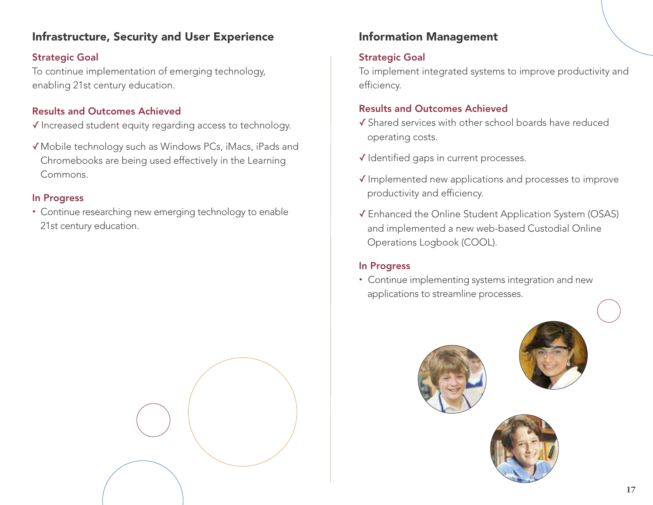#### Infrastructure, Security and User Experience

#### Strategic Goal

To continue implementation of emerging technology, enabling 21st century education.

#### Results and Outcomes Achieved

- ✓ Increased student equity regarding access to technology.
- ✓Mobile technology such as Windows PCs, iMacs, iPads and Chromebooks are being used effectively in the Learning Commons.

#### In Progress

• Continue researching new emerging technology to enable 21st century education.



#### Information Management

#### Strategic Goal

To implement integrated systems to improve productivity and efficiency.

#### Results and Outcomes Achieved

- ✓ Shared services with other school boards have reduced operating costs.
- ✓ Identified gaps in current processes.
- ✓ Implemented new applications and processes to improve productivity and efficiency.
- ✓ Enhanced the Online Student Application System (OSAS) and implemented a new web-based Custodial Online Operations Logbook (COOL).

#### In Progress

• Continue implementing systems integration and new applications to streamline processes.

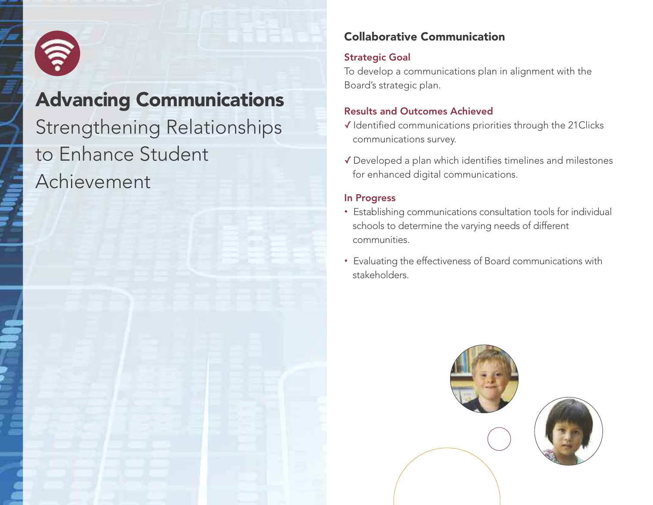

## Advancing Communications Strengthening Relationships to Enhance Student Achievement

#### Collaborative Communication

#### Strategic Goal

To develop a communications plan in alignment with the Board's strategic plan.

#### Results and Outcomes Achieved

- ✓ Identified communications priorities through the 21Clicks communications survey.
- ✓ Developed a plan which identifies timelines and milestones for enhanced digital communications.

#### In Progress

- Establishing communications consultation tools for individual schools to determine the varying needs of different communities.
- Evaluating the effectiveness of Board communications with stakeholders.

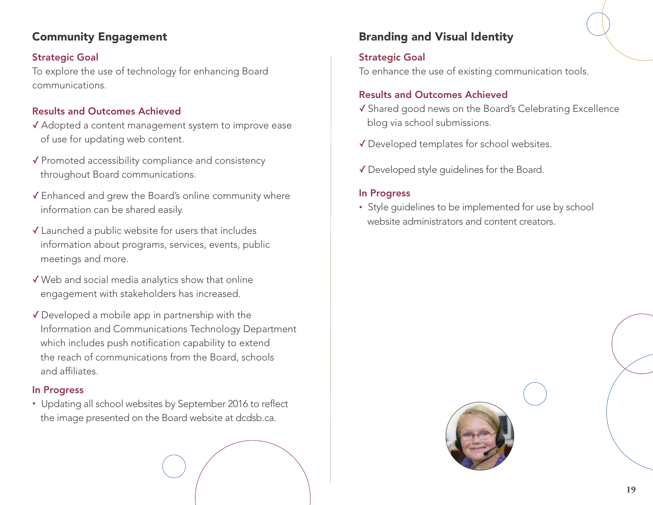#### Community Engagement

#### Strategic Goal

To explore the use of technology for enhancing Board communications.

#### Results and Outcomes Achieved

- ✓ Adopted a content management system to improve ease of use for updating web content.
- ✓ Promoted accessibility compliance and consistency throughout Board communications.
- ✓ Enhanced and grew the Board's online community where information can be shared easily.
- ✓ Launched a public website for users that includes information about programs, services, events, public meetings and more.
- ✓Web and social media analytics show that online engagement with stakeholders has increased.
- ✓ Developed a mobile app in partnership with the Information and Communications Technology Department which includes push notification capability to extend the reach of communications from the Board, schools and affiliates.

#### In Progress

• Updating all school websites by September 2016 to reflect the image presented on the Board website at dcdsb.ca.

#### Branding and Visual Identity

#### Strategic Goal

To enhance the use of existing communication tools.

#### Results and Outcomes Achieved

- ✓ Shared good news on the Board's Celebrating Excellence blog via school submissions.
- ✓ Developed templates for school websites.
- ✓ Developed style guidelines for the Board.

#### In Progress

• Style guidelines to be implemented for use by school website administrators and content creators.

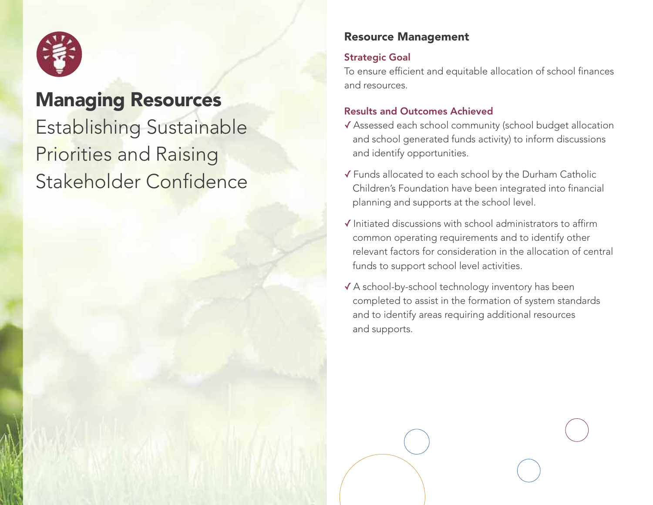

### Managing Resources

Establishing Sustainable Priorities and Raising Stakeholder Confidence

#### Resource Management

#### Strategic Goal

To ensure efficient and equitable allocation of school finances and resources.

- ✓ Assessed each school community (school budget allocation and school generated funds activity) to inform discussions and identify opportunities.
- ✓ Funds allocated to each school by the Durham Catholic Children's Foundation have been integrated into financial planning and supports at the school level.
- ✓ Initiated discussions with school administrators to affirm common operating requirements and to identify other relevant factors for consideration in the allocation of central funds to support school level activities.
- ✓ A school-by-school technology inventory has been completed to assist in the formation of system standards and to identify areas requiring additional resources and supports.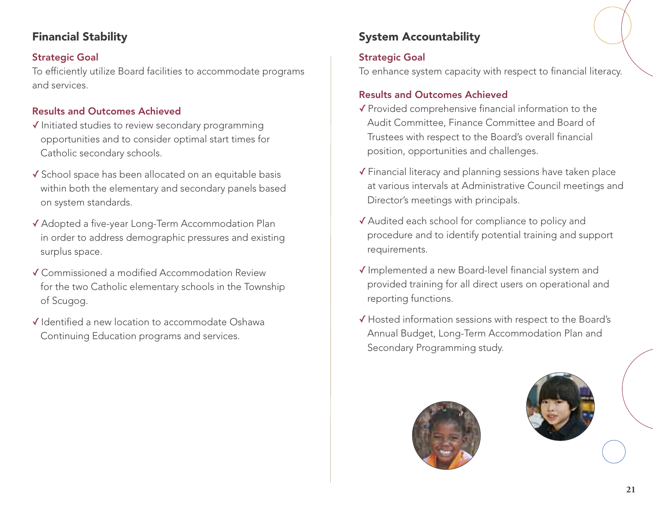#### Financial Stability

#### Strategic Goal

To efficiently utilize Board facilities to accommodate programs and services.

#### Results and Outcomes Achieved

- ✓ Initiated studies to review secondary programming opportunities and to consider optimal start times for Catholic secondary schools.
- ✓ School space has been allocated on an equitable basis within both the elementary and secondary panels based on system standards.
- ✓ Adopted a five-year Long-Term Accommodation Plan in order to address demographic pressures and existing surplus space.
- ✓ Commissioned a modified Accommodation Review for the two Catholic elementary schools in the Township of Scugog.
- ✓ Identified a new location to accommodate Oshawa Continuing Education programs and services.

### System Accountability

#### Strategic Goal

To enhance system capacity with respect to financial literacy.

- ✓ Provided comprehensive financial information to the Audit Committee, Finance Committee and Board of Trustees with respect to the Board's overall financial position, opportunities and challenges.
- ✓ Financial literacy and planning sessions have taken place at various intervals at Administrative Council meetings and Director's meetings with principals.
- ✓ Audited each school for compliance to policy and procedure and to identify potential training and support requirements.
- ✓ Implemented a new Board-level financial system and provided training for all direct users on operational and reporting functions.
- ✓ Hosted information sessions with respect to the Board's Annual Budget, Long-Term Accommodation Plan and Secondary Programming study.



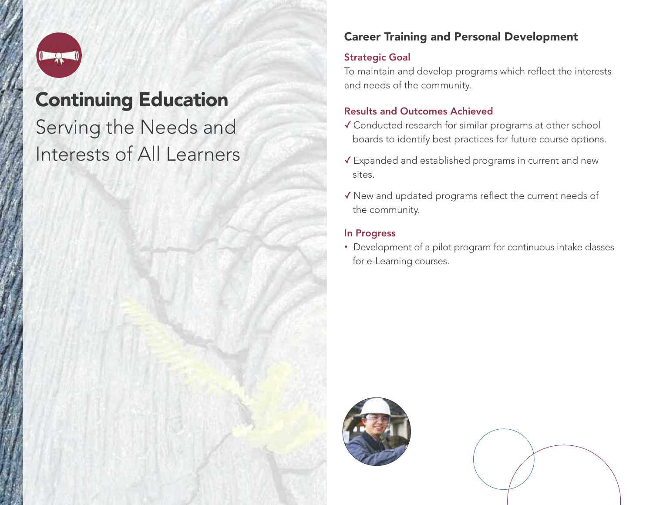

### Continuing Education

## Serving the Needs and Interests of All Learners

#### Career Training and Personal Development

#### Strategic Goal

To maintain and develop programs which reflect the interests and needs of the community.

#### Results and Outcomes Achieved

- ✓ Conducted research for similar programs at other school boards to identify best practices for future course options.
- ✓ Expanded and established programs in current and new sites.
- ✓New and updated programs reflect the current needs of the community.

#### In Progress

• Development of a pilot program for continuous intake classes for e-Learning courses.



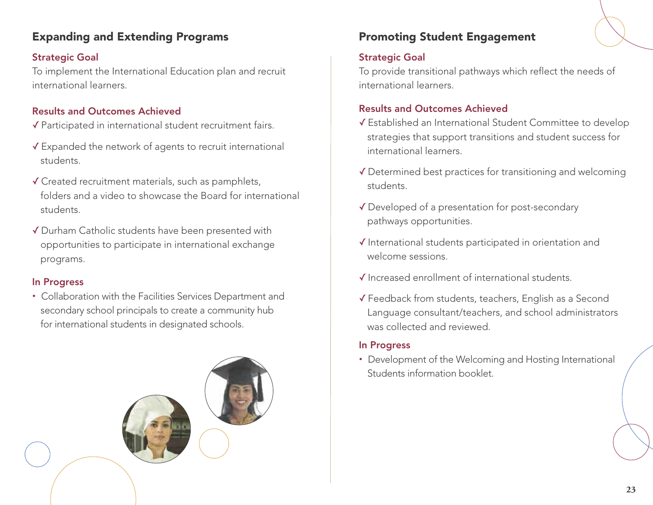#### Expanding and Extending Programs **Promoting Student Engagement**

#### Strategic Goal

To implement the International Education plan and recruit international learners.

#### Results and Outcomes Achieved

- ✓ Participated in international student recruitment fairs.
- ✓ Expanded the network of agents to recruit international students.
- ✓ Created recruitment materials, such as pamphlets, folders and a video to showcase the Board for international students.
- ✓ Durham Catholic students have been presented with opportunities to participate in international exchange programs.

#### In Progress

• Collaboration with the Facilities Services Department and secondary school principals to create a community hub for international students in designated schools.



#### Strategic Goal

To provide transitional pathways which reflect the needs of international learners.

#### Results and Outcomes Achieved

- ✓ Established an International Student Committee to develop strategies that support transitions and student success for international learners.
- ✓ Determined best practices for transitioning and welcoming students.
- ✓ Developed of a presentation for post-secondary pathways opportunities.
- ✓ International students participated in orientation and welcome sessions.
- ✓ Increased enrollment of international students.
- ✓ Feedback from students, teachers, English as a Second Language consultant/teachers, and school administrators was collected and reviewed.

#### In Progress

• Development of the Welcoming and Hosting International Students information booklet.